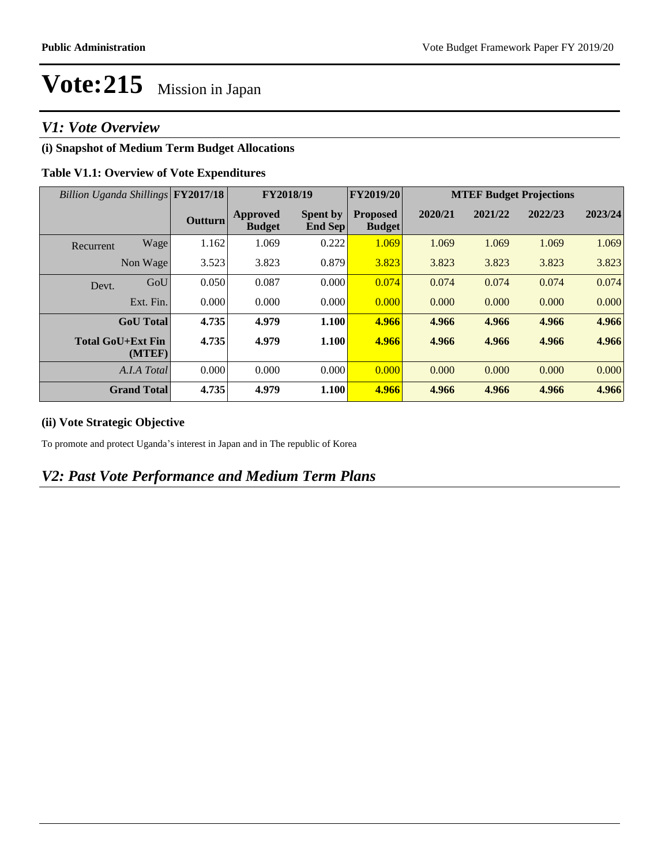### *V1: Vote Overview*

### **(i) Snapshot of Medium Term Budget Allocations**

#### **Table V1.1: Overview of Vote Expenditures**

| Billion Uganda Shillings FY2017/18 |                    |                | FY2018/19                 |                                   | FY2019/20                        | <b>MTEF Budget Projections</b> |         |         |         |
|------------------------------------|--------------------|----------------|---------------------------|-----------------------------------|----------------------------------|--------------------------------|---------|---------|---------|
|                                    |                    | <b>Outturn</b> | Approved<br><b>Budget</b> | <b>Spent by</b><br><b>End Sep</b> | <b>Proposed</b><br><b>Budget</b> | 2020/21                        | 2021/22 | 2022/23 | 2023/24 |
| Recurrent                          | Wage               | 1.162          | 1.069                     | 0.222                             | 1.069                            | 1.069                          | 1.069   | 1.069   | 1.069   |
|                                    | Non Wage           | 3.523          | 3.823                     | 0.879                             | 3.823                            | 3.823                          | 3.823   | 3.823   | 3.823   |
| Devt.                              | GoU                | 0.050          | 0.087                     | 0.000                             | 0.074                            | 0.074                          | 0.074   | 0.074   | 0.074   |
|                                    | Ext. Fin.          | 0.000          | 0.000                     | 0.000                             | 0.000                            | 0.000                          | 0.000   | 0.000   | 0.000   |
|                                    | <b>GoU</b> Total   | 4.735          | 4.979                     | 1.100                             | 4.966                            | 4.966                          | 4.966   | 4.966   | 4.966   |
| <b>Total GoU+Ext Fin</b>           | (MTEF)             | 4.735          | 4.979                     | 1.100                             | 4.966                            | 4.966                          | 4.966   | 4.966   | 4.966   |
|                                    | A.I.A Total        | 0.000          | 0.000                     | 0.000                             | 0.000                            | 0.000                          | 0.000   | 0.000   | 0.000   |
|                                    | <b>Grand Total</b> | 4.735          | 4.979                     | 1.100                             | 4.966                            | 4.966                          | 4.966   | 4.966   | 4.966   |

#### **(ii) Vote Strategic Objective**

To promote and protect Uganda's interest in Japan and in The republic of Korea

### *V2: Past Vote Performance and Medium Term Plans*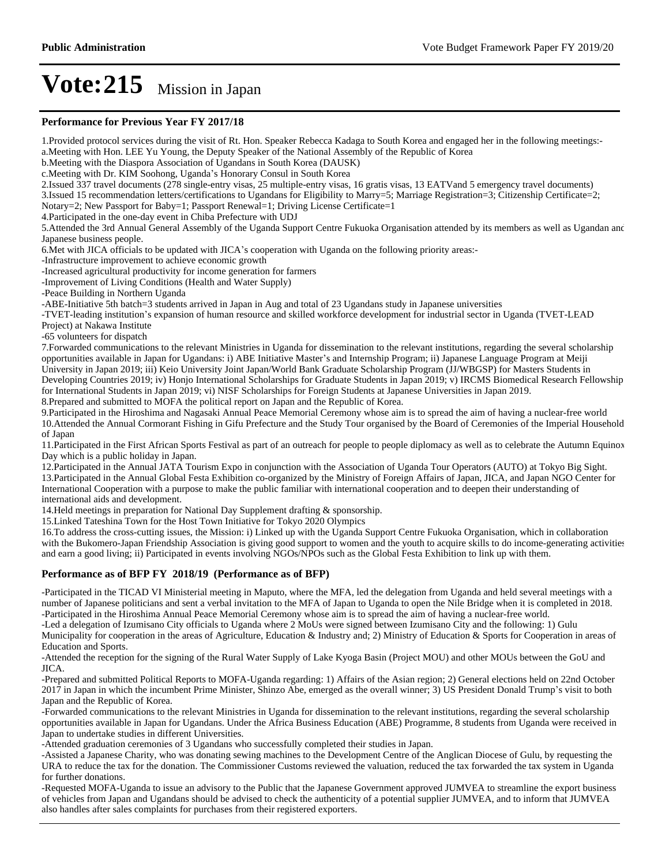#### **Performance for Previous Year FY 2017/18**

1.Provided protocol services during the visit of Rt. Hon. Speaker Rebecca Kadaga to South Korea and engaged her in the following meetings: a.Meeting with Hon. LEE Yu Young, the Deputy Speaker of the National Assembly of the Republic of Korea b.Meeting with the Diaspora Association of Ugandans in South Korea (DAUSK) c.Meeting with Dr. KIM Soohong, Uganda's Honorary Consul in South Korea 2.Issued 337 travel documents (278 single-entry visas, 25 multiple-entry visas, 16 gratis visas, 13 EATVand 5 emergency travel documents) 3.Issued 15 recommendation letters/certifications to Ugandans for Eligibility to Marry=5; Marriage Registration=3; Citizenship Certificate=2; Notary=2; New Passport for Baby=1; Passport Renewal=1; Driving License Certificate=1 4.Participated in the one-day event in Chiba Prefecture with UDJ 5.Attended the 3rd Annual General Assembly of the Uganda Support Centre Fukuoka Organisation attended by its members as well as Ugandan and Japanese business people. 6. Met with JICA officials to be updated with JICA's cooperation with Uganda on the following priority areas:--Infrastructure improvement to achieve economic growth -Increased agricultural productivity for income generation for farmers -Improvement of Living Conditions (Health and Water Supply) -Peace Building in Northern Uganda -ABE-Initiative 5th batch=3 students arrived in Japan in Aug and total of 23 Ugandans study in Japanese universities -TVET-leading institution's expansion of human resource and skilled workforce development for industrial sector in Uganda (TVET-LEAD) Project) at Nakawa Institute -65 volunteers for dispatch 7.Forwarded communications to the relevant Ministries in Uganda for dissemination to the relevant institutions, regarding the several scholarship opportunities available in Japan for Ugandans: i) ABE Initiative Master's and Internship Program; ii) Japanese Language Program at Meiji University in Japan 2019; iii) Keio University Joint Japan/World Bank Graduate Scholarship Program (JJ/WBGSP) for Masters Students in Developing Countries 2019; iv) Honjo International Scholarships for Graduate Students in Japan 2019; v) IRCMS Biomedical Research Fellowship for International Students in Japan 2019; vi) NISF Scholarships for Foreign Students at Japanese Universities in Japan 2019. 8.Prepared and submitted to MOFA the political report on Japan and the Republic of Korea. 9.Participated in the Hiroshima and Nagasaki Annual Peace Memorial Ceremony whose aim is to spread the aim of having a nuclear-free world 10.Attended the Annual Cormorant Fishing in Gifu Prefecture and the Study Tour organised by the Board of Ceremonies of the Imperial Household of Japan 11.Participated in the First African Sports Festival as part of an outreach for people to people diplomacy as well as to celebrate the Autumn Equinox Day which is a public holiday in Japan. 12.Participated in the Annual JATA Tourism Expo in conjunction with the Association of Uganda Tour Operators (AUTO) at Tokyo Big Sight. 13.Participated in the Annual Global Festa Exhibition co-organized by the Ministry of Foreign Affairs of Japan, JICA, and Japan NGO Center for International Cooperation with a purpose to make the public familiar with international cooperation and to deepen their understanding of international aids and development. 14.Held meetings in preparation for National Day Supplement drafting & sponsorship. 15.Linked Tateshina Town for the Host Town Initiative for Tokyo 2020 Olympics 16.To address the cross-cutting issues, the Mission: i) Linked up with the Uganda Support Centre Fukuoka Organisation, which in collaboration with the Bukomero-Japan Friendship Association is giving good support to women and the youth to acquire skills to do income-generating activities and earn a good living; ii) Participated in events involving NGOs/NPOs such as the Global Festa Exhibition to link up with them. **Performance as of BFP FY 2018/19 (Performance as of BFP)** -Participated in the TICAD VI Ministerial meeting in Maputo, where the MFA, led the delegation from Uganda and held several meetings with a number of Japanese politicians and sent a verbal invitation to the MFA of Japan to Uganda to open the Nile Bridge when it is completed in 2018. -Participated in the Hiroshima Annual Peace Memorial Ceremony whose aim is to spread the aim of having a nuclear-free world. -Led a delegation of Izumisano City officials to Uganda where 2 MoUs were signed between Izumisano City and the following: 1) Gulu Municipality for cooperation in the areas of Agriculture, Education & Industry and; 2) Ministry of Education & Sports for Cooperation in areas of Education and Sports. -Attended the reception for the signing of the Rural Water Supply of Lake Kyoga Basin (Project MOU) and other MOUs between the GoU and JICA. -Prepared and submitted Political Reports to MOFA-Uganda regarding: 1) Affairs of the Asian region; 2) General elections held on 22nd October 2017 in Japan in which the incumbent Prime Minister, Shinzo Abe, emerged as the overall winner; 3) US President Donald Trump's visit to both Japan and the Republic of Korea. -Forwarded communications to the relevant Ministries in Uganda for dissemination to the relevant institutions, regarding the several scholarship opportunities available in Japan for Ugandans. Under the Africa Business Education (ABE) Programme, 8 students from Uganda were received in Japan to undertake studies in different Universities.

-Attended graduation ceremonies of 3 Ugandans who successfully completed their studies in Japan.

-Assisted a Japanese Charity, who was donating sewing machines to the Development Centre of the Anglican Diocese of Gulu, by requesting the URA to reduce the tax for the donation. The Commissioner Customs reviewed the valuation, reduced the tax forwarded the tax system in Uganda for further donations.

-Requested MOFA-Uganda to issue an advisory to the Public that the Japanese Government approved JUMVEA to streamline the export business of vehicles from Japan and Ugandans should be advised to check the authenticity of a potential supplier JUMVEA, and to inform that JUMVEA also handles after sales complaints for purchases from their registered exporters.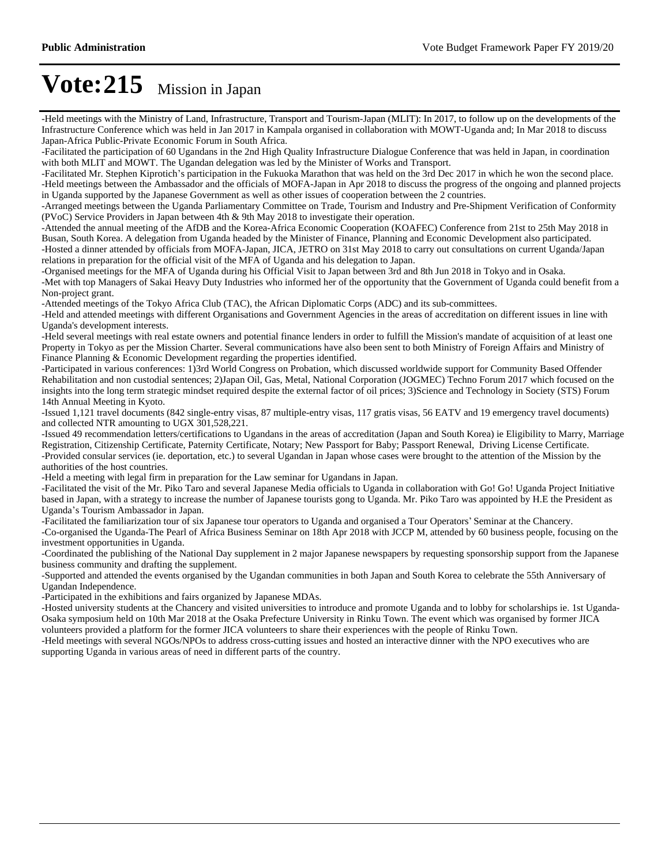-Held meetings with the Ministry of Land, Infrastructure, Transport and Tourism-Japan (MLIT): In 2017, to follow up on the developments of the Infrastructure Conference which was held in Jan 2017 in Kampala organised in collaboration with MOWT-Uganda and; In Mar 2018 to discuss Japan-Africa Public-Private Economic Forum in South Africa.

-Facilitated the participation of 60 Ugandans in the 2nd High Quality Infrastructure Dialogue Conference that was held in Japan, in coordination with both MLIT and MOWT. The Ugandan delegation was led by the Minister of Works and Transport.

-Facilitated Mr. Stephen Kiprotich's participation in the Fukuoka Marathon that was held on the 3rd Dec 2017 in which he won the second place. -Held meetings between the Ambassador and the officials of MOFA-Japan in Apr 2018 to discuss the progress of the ongoing and planned projects in Uganda supported by the Japanese Government as well as other issues of cooperation between the 2 countries.

-Arranged meetings between the Uganda Parliamentary Committee on Trade, Tourism and Industry and Pre-Shipment Verification of Conformity (PVoC) Service Providers in Japan between 4th & 9th May 2018 to investigate their operation.

-Attended the annual meeting of the AfDB and the Korea-Africa Economic Cooperation (KOAFEC) Conference from 21st to 25th May 2018 in Busan, South Korea. A delegation from Uganda headed by the Minister of Finance, Planning and Economic Development also participated. -Hosted a dinner attended by officials from MOFA-Japan, JICA, JETRO on 31st May 2018 to carry out consultations on current Uganda/Japan relations in preparation for the official visit of the MFA of Uganda and his delegation to Japan.

-Organised meetings for the MFA of Uganda during his Official Visit to Japan between 3rd and 8th Jun 2018 in Tokyo and in Osaka. -Met with top Managers of Sakai Heavy Duty Industries who informed her of the opportunity that the Government of Uganda could benefit from a Non-project grant.

-Attended meetings of the Tokyo Africa Club (TAC), the African Diplomatic Corps (ADC) and its sub-committees.

-Held and attended meetings with different Organisations and Government Agencies in the areas of accreditation on different issues in line with Uganda's development interests.

-Held several meetings with real estate owners and potential finance lenders in order to fulfill the Mission's mandate of acquisition of at least one Property in Tokyo as per the Mission Charter. Several communications have also been sent to both Ministry of Foreign Affairs and Ministry of Finance Planning & Economic Development regarding the properties identified.

-Participated in various conferences: 1)3rd World Congress on Probation, which discussed worldwide support for Community Based Offender Rehabilitation and non custodial sentences; 2)Japan Oil, Gas, Metal, National Corporation (JOGMEC) Techno Forum 2017 which focused on the insights into the long term strategic mindset required despite the external factor of oil prices; 3)Science and Technology in Society (STS) Forum 14th Annual Meeting in Kyoto.

-Issued 1,121 travel documents (842 single-entry visas, 87 multiple-entry visas, 117 gratis visas, 56 EATV and 19 emergency travel documents) and collected NTR amounting to UGX 301,528,221.

-Issued 49 recommendation letters/certifications to Ugandans in the areas of accreditation (Japan and South Korea) ie Eligibility to Marry, Marriage Registration, Citizenship Certificate, Paternity Certificate, Notary; New Passport for Baby; Passport Renewal, Driving License Certificate. -Provided consular services (ie. deportation, etc.) to several Ugandan in Japan whose cases were brought to the attention of the Mission by the authorities of the host countries.

-Held a meeting with legal firm in preparation for the Law seminar for Ugandans in Japan.

-Facilitated the visit of the Mr. Piko Taro and several Japanese Media officials to Uganda in collaboration with Go! Go! Uganda Project Initiative based in Japan, with a strategy to increase the number of Japanese tourists gong to Uganda. Mr. Piko Taro was appointed by H.E the President as Uganda's Tourism Ambassador in Japan.

-Facilitated the familiarization tour of six Japanese tour operators to Uganda and organised a Tour Operators' Seminar at the Chancery. -Co-organised the Uganda-The Pearl of Africa Business Seminar on 18th Apr 2018 with JCCP M, attended by 60 business people, focusing on the investment opportunities in Uganda.

-Coordinated the publishing of the National Day supplement in 2 major Japanese newspapers by requesting sponsorship support from the Japanese business community and drafting the supplement.

-Supported and attended the events organised by the Ugandan communities in both Japan and South Korea to celebrate the 55th Anniversary of Ugandan Independence.

-Participated in the exhibitions and fairs organized by Japanese MDAs.

-Hosted university students at the Chancery and visited universities to introduce and promote Uganda and to lobby for scholarships ie. 1st Uganda-Osaka symposium held on 10th Mar 2018 at the Osaka Prefecture University in Rinku Town. The event which was organised by former JICA volunteers provided a platform for the former JICA volunteers to share their experiences with the people of Rinku Town.

-Held meetings with several NGOs/NPOs to address cross-cutting issues and hosted an interactive dinner with the NPO executives who are supporting Uganda in various areas of need in different parts of the country.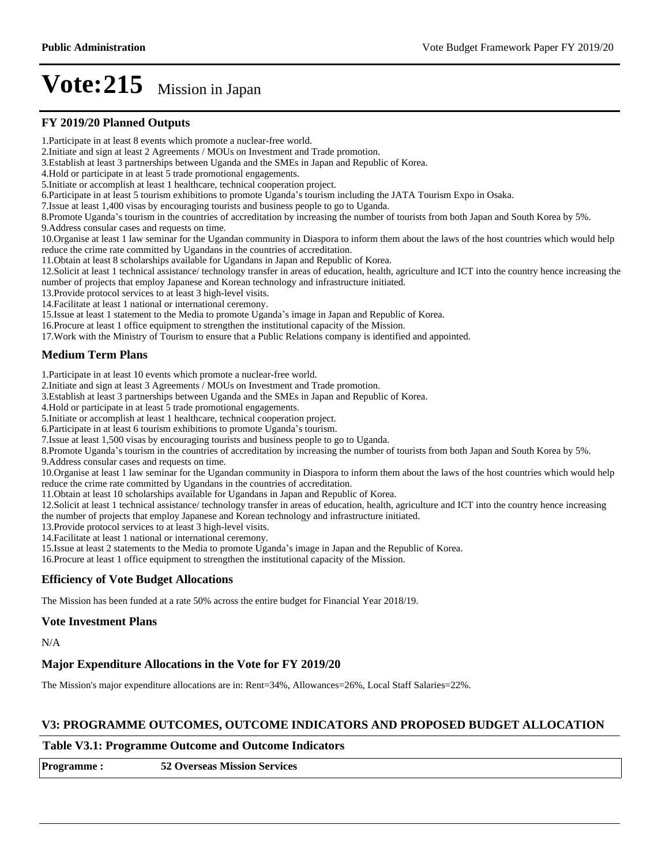#### **FY 2019/20 Planned Outputs**

1.Participate in at least 8 events which promote a nuclear-free world.

2.Initiate and sign at least 2 Agreements / MOUs on Investment and Trade promotion.

3.Establish at least 3 partnerships between Uganda and the SMEs in Japan and Republic of Korea.

4.Hold or participate in at least 5 trade promotional engagements.

5.Initiate or accomplish at least 1 healthcare, technical cooperation project.

6.Participate in at least 5 tourism exhibitions to promote Uganda's tourism including the JATA Tourism Expo in Osaka.

7.Issue at least 1,400 visas by encouraging tourists and business people to go to Uganda.

8.Promote Uganda's tourism in the countries of accreditation by increasing the number of tourists from both Japan and South Korea by 5%.

9.Address consular cases and requests on time.

10.Organise at least 1 law seminar for the Ugandan community in Diaspora to inform them about the laws of the host countries which would help reduce the crime rate committed by Ugandans in the countries of accreditation.

11.Obtain at least 8 scholarships available for Ugandans in Japan and Republic of Korea.

12.Solicit at least 1 technical assistance/ technology transfer in areas of education, health, agriculture and ICT into the country hence increasing the number of projects that employ Japanese and Korean technology and infrastructure initiated.

13.Provide protocol services to at least 3 high-level visits.

14.Facilitate at least 1 national or international ceremony.

15. Issue at least 1 statement to the Media to promote Uganda's image in Japan and Republic of Korea.

16.Procure at least 1 office equipment to strengthen the institutional capacity of the Mission.

17.Work with the Ministry of Tourism to ensure that a Public Relations company is identified and appointed.

#### **Medium Term Plans**

1.Participate in at least 10 events which promote a nuclear-free world.

2.Initiate and sign at least 3 Agreements / MOUs on Investment and Trade promotion.

3.Establish at least 3 partnerships between Uganda and the SMEs in Japan and Republic of Korea.

4.Hold or participate in at least 5 trade promotional engagements.

5.Initiate or accomplish at least 1 healthcare, technical cooperation project.

6. Participate in at least 6 tourism exhibitions to promote Uganda's tourism.

7.Issue at least 1,500 visas by encouraging tourists and business people to go to Uganda.

8.Promote Uganda's tourism in the countries of accreditation by increasing the number of tourists from both Japan and South Korea by 5%.

9.Address consular cases and requests on time.

10.Organise at least 1 law seminar for the Ugandan community in Diaspora to inform them about the laws of the host countries which would help reduce the crime rate committed by Ugandans in the countries of accreditation.

11.Obtain at least 10 scholarships available for Ugandans in Japan and Republic of Korea.

12.Solicit at least 1 technical assistance/ technology transfer in areas of education, health, agriculture and ICT into the country hence increasing the number of projects that employ Japanese and Korean technology and infrastructure initiated.

13.Provide protocol services to at least 3 high-level visits.

14.Facilitate at least 1 national or international ceremony.

15. Issue at least 2 statements to the Media to promote Uganda's image in Japan and the Republic of Korea.

16.Procure at least 1 office equipment to strengthen the institutional capacity of the Mission.

#### **Efficiency of Vote Budget Allocations**

The Mission has been funded at a rate 50% across the entire budget for Financial Year 2018/19.

#### **Vote Investment Plans**

N/A

#### **Major Expenditure Allocations in the Vote for FY 2019/20**

The Mission's major expenditure allocations are in: Rent=34%, Allowances=26%, Local Staff Salaries=22%.

#### **V3: PROGRAMME OUTCOMES, OUTCOME INDICATORS AND PROPOSED BUDGET ALLOCATION**

#### **Table V3.1: Programme Outcome and Outcome Indicators**

| <b>Programme:</b> | <b>52 Overseas Mission Services</b> |
|-------------------|-------------------------------------|
|-------------------|-------------------------------------|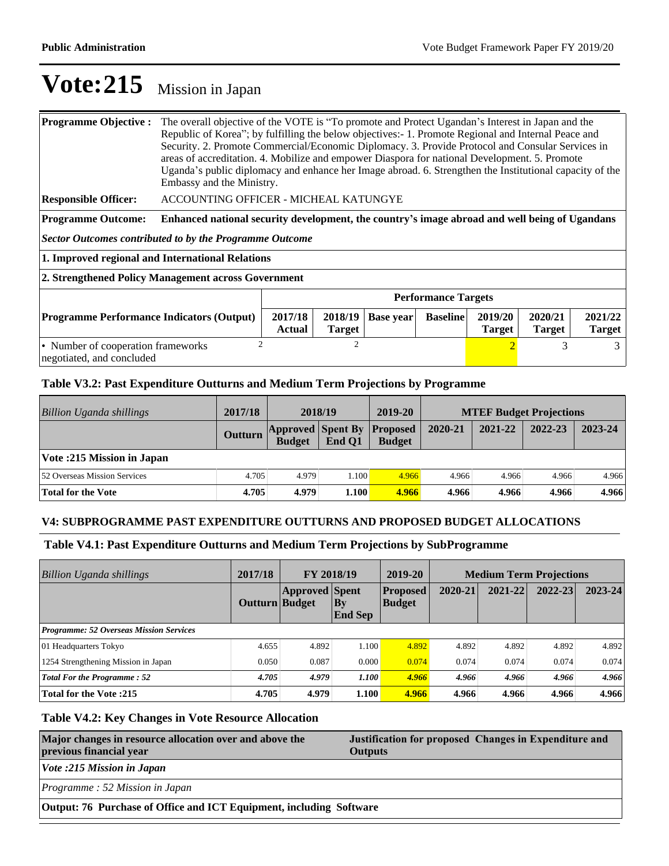| <b>Programme Objective:</b>                                                                                                                                                                      | The overall objective of the VOTE is "To promote and Protect Ugandan's Interest in Japan and the<br>Republic of Korea"; by fulfilling the below objectives:- 1. Promote Regional and Internal Peace and<br>Security. 2. Promote Commercial/Economic Diplomacy. 3. Provide Protocol and Consular Services in<br>areas of accreditation. 4. Mobilize and empower Diaspora for national Development. 5. Promote<br>Uganda's public diplomacy and enhance her Image abroad. 6. Strengthen the Institutional capacity of the<br>Embassy and the Ministry. |  |                |  |                          |                          |  |   |
|--------------------------------------------------------------------------------------------------------------------------------------------------------------------------------------------------|------------------------------------------------------------------------------------------------------------------------------------------------------------------------------------------------------------------------------------------------------------------------------------------------------------------------------------------------------------------------------------------------------------------------------------------------------------------------------------------------------------------------------------------------------|--|----------------|--|--------------------------|--------------------------|--|---|
| <b>Responsible Officer:</b>                                                                                                                                                                      | ACCOUNTING OFFICER - MICHEAL KATUNGYE                                                                                                                                                                                                                                                                                                                                                                                                                                                                                                                |  |                |  |                          |                          |  |   |
| <b>Programme Outcome:</b>                                                                                                                                                                        | Enhanced national security development, the country's image abroad and well being of Ugandans                                                                                                                                                                                                                                                                                                                                                                                                                                                        |  |                |  |                          |                          |  |   |
| <b>Sector Outcomes contributed to by the Programme Outcome</b>                                                                                                                                   |                                                                                                                                                                                                                                                                                                                                                                                                                                                                                                                                                      |  |                |  |                          |                          |  |   |
|                                                                                                                                                                                                  | 1. Improved regional and International Relations                                                                                                                                                                                                                                                                                                                                                                                                                                                                                                     |  |                |  |                          |                          |  |   |
| 2. Strengthened Policy Management across Government                                                                                                                                              |                                                                                                                                                                                                                                                                                                                                                                                                                                                                                                                                                      |  |                |  |                          |                          |  |   |
| <b>Performance Targets</b>                                                                                                                                                                       |                                                                                                                                                                                                                                                                                                                                                                                                                                                                                                                                                      |  |                |  |                          |                          |  |   |
| 2020/21<br>2017/18<br>2019/20<br>2018/19<br><b>Baseline</b><br><b>Programme Performance Indicators (Output)</b><br><b>Base year</b><br>Actual<br><b>Target</b><br><b>Target</b><br><b>Target</b> |                                                                                                                                                                                                                                                                                                                                                                                                                                                                                                                                                      |  |                |  | 2021/22<br><b>Target</b> |                          |  |   |
| • Number of cooperation frameworks                                                                                                                                                               | $\mathcal{D}$                                                                                                                                                                                                                                                                                                                                                                                                                                                                                                                                        |  | $\overline{c}$ |  |                          | $\overline{\mathcal{L}}$ |  | 3 |

negotiated, and concluded

#### **Table V3.2: Past Expenditure Outturns and Medium Term Projections by Programme**

| <b>Billion Uganda shillings</b>     | 2017/18        | 2018/19                                   |        | 2019-20                          | <b>MTEF Budget Projections</b> |         |         |         |
|-------------------------------------|----------------|-------------------------------------------|--------|----------------------------------|--------------------------------|---------|---------|---------|
|                                     | <b>Outturn</b> | <b>Approved Spent By</b><br><b>Budget</b> | End O1 | <b>Proposed</b><br><b>Budget</b> | 2020-21                        | 2021-22 | 2022-23 | 2023-24 |
| Vote: 215 Mission in Japan          |                |                                           |        |                                  |                                |         |         |         |
| <b>52 Overseas Mission Services</b> | 4.705          | 4.979                                     | 1.100  | 4.966                            | 4.966                          | 4.966   | 4.966   | 4.966   |
| <b>Total for the Vote</b>           | 4.705          | 4.979                                     | 1.100  | 4.966                            | 4.966                          | 4.966   | 4.966   | 4.966   |

#### **V4: SUBPROGRAMME PAST EXPENDITURE OUTTURNS AND PROPOSED BUDGET ALLOCATIONS**

### **Table V4.1: Past Expenditure Outturns and Medium Term Projections by SubProgramme**

| <b>Billion Uganda shillings</b>                | 2017/18<br>FY 2018/19 |                       | 2019-20                  | <b>Medium Term Projections</b>   |         |         |         |         |
|------------------------------------------------|-----------------------|-----------------------|--------------------------|----------------------------------|---------|---------|---------|---------|
|                                                | <b>Outturn Budget</b> | <b>Approved Spent</b> | $ $ By<br><b>End Sep</b> | <b>Proposed</b><br><b>Budget</b> | 2020-21 | 2021-22 | 2022-23 | 2023-24 |
| <b>Programme: 52 Overseas Mission Services</b> |                       |                       |                          |                                  |         |         |         |         |
| 01 Headquarters Tokyo                          | 4.655                 | 4.892                 | 1.100                    | 4.892                            | 4.892   | 4.892   | 4.892   | 4.892   |
| 1254 Strengthening Mission in Japan            | 0.050                 | 0.087                 | 0.000                    | 0.074                            | 0.074   | 0.074   | 0.074   | 0.074   |
| <b>Total For the Programme: 52</b>             | 4.705                 | 4.979                 | 1.100                    | 4.966                            | 4.966   | 4.966   | 4.966   | 4.966   |
| Total for the Vote : 215                       | 4.705                 | 4.979                 | 1.100                    | 4.966                            | 4.966   | 4.966   | 4.966   | 4.966   |

#### **Table V4.2: Key Changes in Vote Resource Allocation**

| Major changes in resource allocation over and above the<br>previous financial year | Justification for proposed Changes in Expenditure and<br><b>Outputs</b> |  |  |  |  |
|------------------------------------------------------------------------------------|-------------------------------------------------------------------------|--|--|--|--|
| Vote :215 Mission in Japan                                                         |                                                                         |  |  |  |  |
| Programme: 52 Mission in Japan                                                     |                                                                         |  |  |  |  |
| Output: 76 Purchase of Office and ICT Equipment, including Software                |                                                                         |  |  |  |  |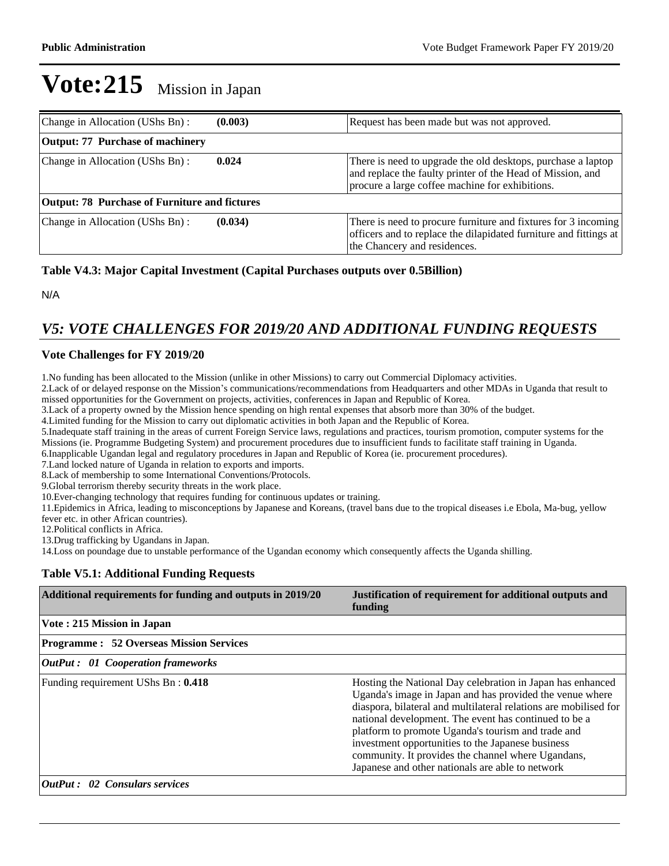| Change in Allocation (UShs Bn):                      | (0.003) | Request has been made but was not approved.                                                                                                                                   |
|------------------------------------------------------|---------|-------------------------------------------------------------------------------------------------------------------------------------------------------------------------------|
| <b>Output: 77 Purchase of machinery</b>              |         |                                                                                                                                                                               |
| Change in Allocation (UShs Bn):                      | 0.024   | There is need to upgrade the old desktops, purchase a laptop<br>and replace the faulty printer of the Head of Mission, and<br>procure a large coffee machine for exhibitions. |
| <b>Output: 78 Purchase of Furniture and fictures</b> |         |                                                                                                                                                                               |
| Change in Allocation (UShs Bn):                      | (0.034) | There is need to procure furniture and fixtures for 3 incoming<br>officers and to replace the dilapidated furniture and fittings at<br>the Chancery and residences.           |

#### **Table V4.3: Major Capital Investment (Capital Purchases outputs over 0.5Billion)**

N/A

## *V5: VOTE CHALLENGES FOR 2019/20 AND ADDITIONAL FUNDING REQUESTS*

#### **Vote Challenges for FY 2019/20**

1.No funding has been allocated to the Mission (unlike in other Missions) to carry out Commercial Diplomacy activities.

2. Lack of or delayed response on the Mission's communications/recommendations from Headquarters and other MDAs in Uganda that result to missed opportunities for the Government on projects, activities, conferences in Japan and Republic of Korea.

3.Lack of a property owned by the Mission hence spending on high rental expenses that absorb more than 30% of the budget.

4.Limited funding for the Mission to carry out diplomatic activities in both Japan and the Republic of Korea.

5.Inadequate staff training in the areas of current Foreign Service laws, regulations and practices, tourism promotion, computer systems for the Missions (ie. Programme Budgeting System) and procurement procedures due to insufficient funds to facilitate staff training in Uganda.

6.Inapplicable Ugandan legal and regulatory procedures in Japan and Republic of Korea (ie. procurement procedures).

7.Land locked nature of Uganda in relation to exports and imports.

8.Lack of membership to some International Conventions/Protocols.

9.Global terrorism thereby security threats in the work place.

10.Ever-changing technology that requires funding for continuous updates or training.

11.Epidemics in Africa, leading to misconceptions by Japanese and Koreans, (travel bans due to the tropical diseases i.e Ebola, Ma-bug, yellow fever etc. in other African countries).

12.Political conflicts in Africa.

13.Drug trafficking by Ugandans in Japan.

14.Loss on poundage due to unstable performance of the Ugandan economy which consequently affects the Uganda shilling.

#### **Table V5.1: Additional Funding Requests**

| Additional requirements for funding and outputs in 2019/20 | Justification of requirement for additional outputs and<br>funding                                                                                                                                                                                                                                                                                                                                                                                                       |
|------------------------------------------------------------|--------------------------------------------------------------------------------------------------------------------------------------------------------------------------------------------------------------------------------------------------------------------------------------------------------------------------------------------------------------------------------------------------------------------------------------------------------------------------|
| Vote: 215 Mission in Japan                                 |                                                                                                                                                                                                                                                                                                                                                                                                                                                                          |
| <b>Programme : 52 Overseas Mission Services</b>            |                                                                                                                                                                                                                                                                                                                                                                                                                                                                          |
| <b>OutPut : 01 Cooperation frameworks</b>                  |                                                                                                                                                                                                                                                                                                                                                                                                                                                                          |
| Funding requirement UShs Bn: 0.418                         | Hosting the National Day celebration in Japan has enhanced<br>Uganda's image in Japan and has provided the venue where<br>diaspora, bilateral and multilateral relations are mobilised for<br>national development. The event has continued to be a<br>platform to promote Uganda's tourism and trade and<br>investment opportunities to the Japanese business<br>community. It provides the channel where Ugandans,<br>Japanese and other nationals are able to network |
| $ OutPut: 02$ Consulars services                           |                                                                                                                                                                                                                                                                                                                                                                                                                                                                          |